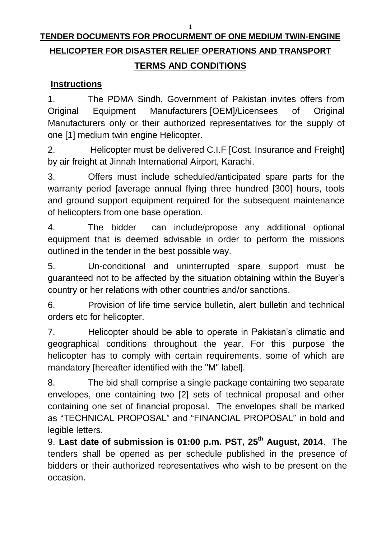1

# **TENDER DOCUMENTS FOR PROCURMENT OF ONE MEDIUM TWIN-ENGINE HELICOPTER FOR DISASTER RELIEF OPERATIONS AND TRANSPORT TERMS AND CONDITIONS**

# **Instructions**

1. The PDMA Sindh, Government of Pakistan invites offers from Original Equipment Manufacturers [OEM]/Licensees of Original Manufacturers only or their authorized representatives for the supply of one [1] medium twin engine Helicopter.

2. Helicopter must be delivered C.I.F [Cost, Insurance and Freight] by air freight at Jinnah International Airport, Karachi.

3. Offers must include scheduled/anticipated spare parts for the warranty period [average annual flying three hundred [300] hours, tools and ground support equipment required for the subsequent maintenance of helicopters from one base operation.

4. The bidder can include/propose any additional optional equipment that is deemed advisable in order to perform the missions outlined in the tender in the best possible way.

5. Un-conditional and uninterrupted spare support must be guaranteed not to be affected by the situation obtaining within the Buyer's country or her relations with other countries and/or sanctions.

6. Provision of life time service bulletin, alert bulletin and technical orders etc for helicopter.

7. Helicopter should be able to operate in Pakistan's climatic and geographical conditions throughout the year. For this purpose the helicopter has to comply with certain requirements, some of which are mandatory [hereafter identified with the "M" label].

8. The bid shall comprise a single package containing two separate envelopes, one containing two [2] sets of technical proposal and other containing one set of financial proposal. The envelopes shall be marked as "TECHNICAL PROPOSAL" and "FINANCIAL PROPOSAL" in bold and legible letters.

9. **Last date of submission is 01:00 p.m. PST, 25 th August, 2014**. The tenders shall be opened as per schedule published in the presence of bidders or their authorized representatives who wish to be present on the occasion.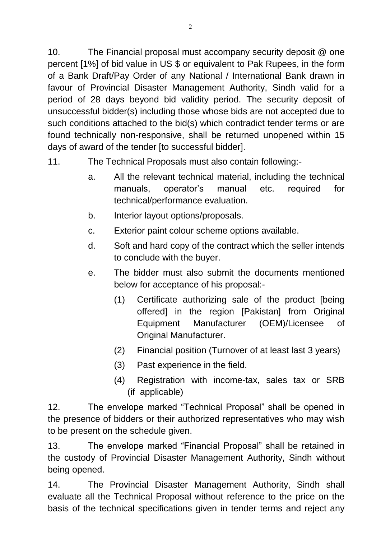10. The Financial proposal must accompany security deposit @ one percent [1%] of bid value in US \$ or equivalent to Pak Rupees, in the form of a Bank Draft/Pay Order of any National / International Bank drawn in favour of Provincial Disaster Management Authority, Sindh valid for a period of 28 days beyond bid validity period. The security deposit of unsuccessful bidder(s) including those whose bids are not accepted due to such conditions attached to the bid(s) which contradict tender terms or are found technically non-responsive, shall be returned unopened within 15 days of award of the tender [to successful bidder].

- 11. The Technical Proposals must also contain following:
	- a. All the relevant technical material, including the technical manuals, operator's manual etc. required for technical/performance evaluation.
	- b. Interior layout options/proposals.
	- c. Exterior paint colour scheme options available.
	- d. Soft and hard copy of the contract which the seller intends to conclude with the buyer.
	- e. The bidder must also submit the documents mentioned below for acceptance of his proposal:-
		- (1) Certificate authorizing sale of the product [being offered] in the region [Pakistan] from Original Equipment Manufacturer (OEM)/Licensee of Original Manufacturer.
		- (2) Financial position (Turnover of at least last 3 years)
		- (3) Past experience in the field.
		- (4) Registration with income-tax, sales tax or SRB (if applicable)

12. The envelope marked "Technical Proposal" shall be opened in the presence of bidders or their authorized representatives who may wish to be present on the schedule given.

13. The envelope marked "Financial Proposal" shall be retained in the custody of Provincial Disaster Management Authority, Sindh without being opened.

14. The Provincial Disaster Management Authority, Sindh shall evaluate all the Technical Proposal without reference to the price on the basis of the technical specifications given in tender terms and reject any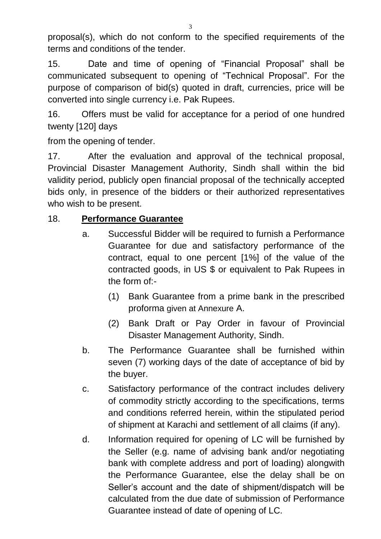proposal(s), which do not conform to the specified requirements of the terms and conditions of the tender.

15. Date and time of opening of "Financial Proposal" shall be communicated subsequent to opening of "Technical Proposal". For the purpose of comparison of bid(s) quoted in draft, currencies, price will be converted into single currency i.e. Pak Rupees.

16. Offers must be valid for acceptance for a period of one hundred twenty [120] days

from the opening of tender.

17. After the evaluation and approval of the technical proposal, Provincial Disaster Management Authority, Sindh shall within the bid validity period, publicly open financial proposal of the technically accepted bids only, in presence of the bidders or their authorized representatives who wish to be present.

## 18. **Performance Guarantee**

- a. Successful Bidder will be required to furnish a Performance Guarantee for due and satisfactory performance of the contract, equal to one percent [1%] of the value of the contracted goods, in US \$ or equivalent to Pak Rupees in the form of:-
	- (1) Bank Guarantee from a prime bank in the prescribed proforma given at Annexure A.
	- (2) Bank Draft or Pay Order in favour of Provincial Disaster Management Authority, Sindh.
- b. The Performance Guarantee shall be furnished within seven (7) working days of the date of acceptance of bid by the buyer.
- c. Satisfactory performance of the contract includes delivery of commodity strictly according to the specifications, terms and conditions referred herein, within the stipulated period of shipment at Karachi and settlement of all claims (if any).
- d. Information required for opening of LC will be furnished by the Seller (e.g. name of advising bank and/or negotiating bank with complete address and port of loading) alongwith the Performance Guarantee, else the delay shall be on Seller's account and the date of shipment/dispatch will be calculated from the due date of submission of Performance Guarantee instead of date of opening of LC.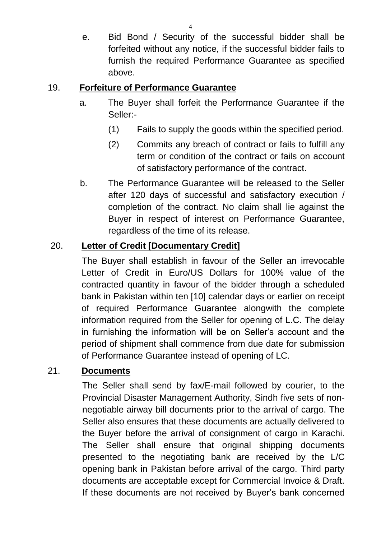e. Bid Bond / Security of the successful bidder shall be forfeited without any notice, if the successful bidder fails to furnish the required Performance Guarantee as specified above.

### 19. **Forfeiture of Performance Guarantee**

- a. The Buyer shall forfeit the Performance Guarantee if the Seller:-
	- (1) Fails to supply the goods within the specified period.
	- (2) Commits any breach of contract or fails to fulfill any term or condition of the contract or fails on account of satisfactory performance of the contract.
- b. The Performance Guarantee will be released to the Seller after 120 days of successful and satisfactory execution / completion of the contract. No claim shall lie against the Buyer in respect of interest on Performance Guarantee, regardless of the time of its release.

# 20. **Letter of Credit [Documentary Credit]**

The Buyer shall establish in favour of the Seller an irrevocable Letter of Credit in Euro/US Dollars for 100% value of the contracted quantity in favour of the bidder through a scheduled bank in Pakistan within ten [10] calendar days or earlier on receipt of required Performance Guarantee alongwith the complete information required from the Seller for opening of L.C. The delay in furnishing the information will be on Seller's account and the period of shipment shall commence from due date for submission of Performance Guarantee instead of opening of LC.

## 21. **Documents**

The Seller shall send by fax/E-mail followed by courier, to the Provincial Disaster Management Authority, Sindh five sets of nonnegotiable airway bill documents prior to the arrival of cargo. The Seller also ensures that these documents are actually delivered to the Buyer before the arrival of consignment of cargo in Karachi. The Seller shall ensure that original shipping documents presented to the negotiating bank are received by the L/C opening bank in Pakistan before arrival of the cargo. Third party documents are acceptable except for Commercial Invoice & Draft. If these documents are not received by Buyer's bank concerned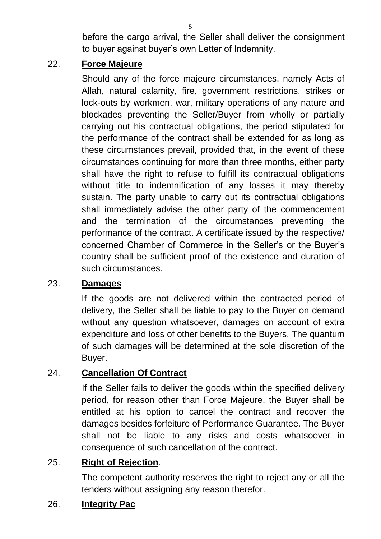5

before the cargo arrival, the Seller shall deliver the consignment to buyer against buyer's own Letter of Indemnity.

# 22. **Force Majeure**

Should any of the force majeure circumstances, namely Acts of Allah, natural calamity, fire, government restrictions, strikes or lock-outs by workmen, war, military operations of any nature and blockades preventing the Seller/Buyer from wholly or partially carrying out his contractual obligations, the period stipulated for the performance of the contract shall be extended for as long as these circumstances prevail, provided that, in the event of these circumstances continuing for more than three months, either party shall have the right to refuse to fulfill its contractual obligations without title to indemnification of any losses it may thereby sustain. The party unable to carry out its contractual obligations shall immediately advise the other party of the commencement and the termination of the circumstances preventing the performance of the contract. A certificate issued by the respective/ concerned Chamber of Commerce in the Seller's or the Buyer's country shall be sufficient proof of the existence and duration of such circumstances.

## 23. **Damages**

If the goods are not delivered within the contracted period of delivery, the Seller shall be liable to pay to the Buyer on demand without any question whatsoever, damages on account of extra expenditure and loss of other benefits to the Buyers. The quantum of such damages will be determined at the sole discretion of the Buyer.

## 24. **Cancellation Of Contract**

If the Seller fails to deliver the goods within the specified delivery period, for reason other than Force Majeure, the Buyer shall be entitled at his option to cancel the contract and recover the damages besides forfeiture of Performance Guarantee. The Buyer shall not be liable to any risks and costs whatsoever in consequence of such cancellation of the contract.

## 25. **Right of Rejection**.

The competent authority reserves the right to reject any or all the tenders without assigning any reason therefor.

## 26. **Integrity Pac**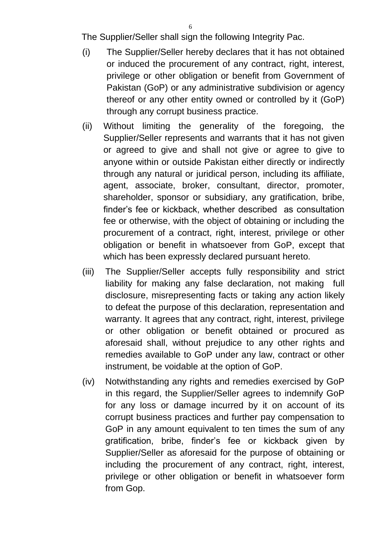The Supplier/Seller shall sign the following Integrity Pac.

- (i) The Supplier/Seller hereby declares that it has not obtained or induced the procurement of any contract, right, interest, privilege or other obligation or benefit from Government of Pakistan (GoP) or any administrative subdivision or agency thereof or any other entity owned or controlled by it (GoP) through any corrupt business practice.
- (ii) Without limiting the generality of the foregoing, the Supplier/Seller represents and warrants that it has not given or agreed to give and shall not give or agree to give to anyone within or outside Pakistan either directly or indirectly through any natural or juridical person, including its affiliate, agent, associate, broker, consultant, director, promoter, shareholder, sponsor or subsidiary, any gratification, bribe, finder's fee or kickback, whether described as consultation fee or otherwise, with the object of obtaining or including the procurement of a contract, right, interest, privilege or other obligation or benefit in whatsoever from GoP, except that which has been expressly declared pursuant hereto.
- (iii) The Supplier/Seller accepts fully responsibility and strict liability for making any false declaration, not making full disclosure, misrepresenting facts or taking any action likely to defeat the purpose of this declaration, representation and warranty. It agrees that any contract, right, interest, privilege or other obligation or benefit obtained or procured as aforesaid shall, without prejudice to any other rights and remedies available to GoP under any law, contract or other instrument, be voidable at the option of GoP.
- (iv) Notwithstanding any rights and remedies exercised by GoP in this regard, the Supplier/Seller agrees to indemnify GoP for any loss or damage incurred by it on account of its corrupt business practices and further pay compensation to GoP in any amount equivalent to ten times the sum of any gratification, bribe, finder's fee or kickback given by Supplier/Seller as aforesaid for the purpose of obtaining or including the procurement of any contract, right, interest, privilege or other obligation or benefit in whatsoever form from Gop.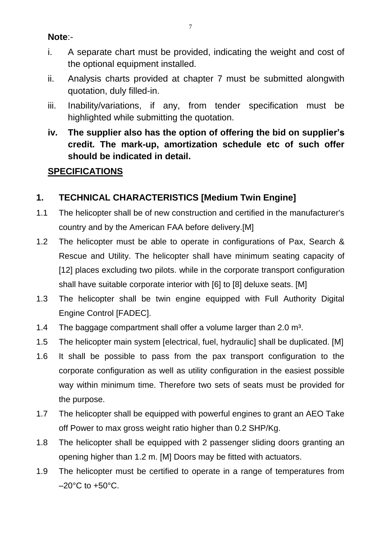#### **Note**:-

- i. A separate chart must be provided, indicating the weight and cost of the optional equipment installed.
- ii. Analysis charts provided at chapter 7 must be submitted alongwith quotation, duly filled-in.
- iii. Inability/variations, if any, from tender specification must be highlighted while submitting the quotation.
- **iv. The supplier also has the option of offering the bid on supplier's credit. The mark-up, amortization schedule etc of such offer should be indicated in detail.**

# **SPECIFICATIONS**

# **1. TECHNICAL CHARACTERISTICS [Medium Twin Engine]**

- 1.1 The helicopter shall be of new construction and certified in the manufacturer's country and by the American FAA before delivery.[M]
- 1.2 The helicopter must be able to operate in configurations of Pax, Search & Rescue and Utility. The helicopter shall have minimum seating capacity of [12] places excluding two pilots. while in the corporate transport configuration shall have suitable corporate interior with [6] to [8] deluxe seats. [M]
- 1.3 The helicopter shall be twin engine equipped with Full Authority Digital Engine Control [FADEC].
- 1.4 The baggage compartment shall offer a volume larger than  $2.0 \text{ m}^3$ .
- 1.5 The helicopter main system [electrical, fuel, hydraulic] shall be duplicated. [M]
- 1.6 It shall be possible to pass from the pax transport configuration to the corporate configuration as well as utility configuration in the easiest possible way within minimum time. Therefore two sets of seats must be provided for the purpose.
- 1.7 The helicopter shall be equipped with powerful engines to grant an AEO Take off Power to max gross weight ratio higher than 0.2 SHP/Kg.
- 1.8 The helicopter shall be equipped with 2 passenger sliding doors granting an opening higher than 1.2 m. [M] Doors may be fitted with actuators.
- 1.9 The helicopter must be certified to operate in a range of temperatures from  $-20^{\circ}$ C to  $+50^{\circ}$ C.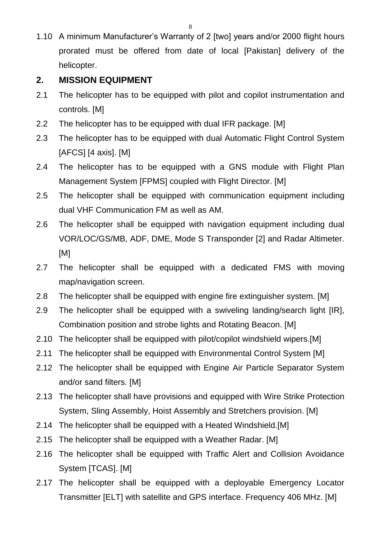1.10 A minimum Manufacturer's Warranty of 2 [two] years and/or 2000 flight hours prorated must be offered from date of local [Pakistan] delivery of the helicopter.

### **2. MISSION EQUIPMENT**

- 2.1 The helicopter has to be equipped with pilot and copilot instrumentation and controls. [M]
- 2.2 The helicopter has to be equipped with dual IFR package. [M]
- 2.3 The helicopter has to be equipped with dual Automatic Flight Control System [AFCS] [4 axis]. [M]
- 2.4 The helicopter has to be equipped with a GNS module with Flight Plan Management System [FPMS] coupled with Flight Director. [M]
- 2.5 The helicopter shall be equipped with communication equipment including dual VHF Communication FM as well as AM.
- 2.6 The helicopter shall be equipped with navigation equipment including dual VOR/LOC/GS/MB, ADF, DME, Mode S Transponder [2] and Radar Altimeter. [M]
- 2.7 The helicopter shall be equipped with a dedicated FMS with moving map/navigation screen.
- 2.8 The helicopter shall be equipped with engine fire extinguisher system. [M]
- 2.9 The helicopter shall be equipped with a swiveling landing/search light [IR], Combination position and strobe lights and Rotating Beacon. [M]
- 2.10 The helicopter shall be equipped with pilot/copilot windshield wipers.[M]
- 2.11 The helicopter shall be equipped with Environmental Control System [M]
- 2.12 The helicopter shall be equipped with Engine Air Particle Separator System and/or sand filters. [M]
- 2.13 The helicopter shall have provisions and equipped with Wire Strike Protection System, Sling Assembly, Hoist Assembly and Stretchers provision. [M]
- 2.14 The helicopter shall be equipped with a Heated Windshield.[M]
- 2.15 The helicopter shall be equipped with a Weather Radar. [M]
- 2.16 The helicopter shall be equipped with Traffic Alert and Collision Avoidance System [TCAS]. [M]
- 2.17 The helicopter shall be equipped with a deployable Emergency Locator Transmitter [ELT] with satellite and GPS interface. Frequency 406 MHz. [M]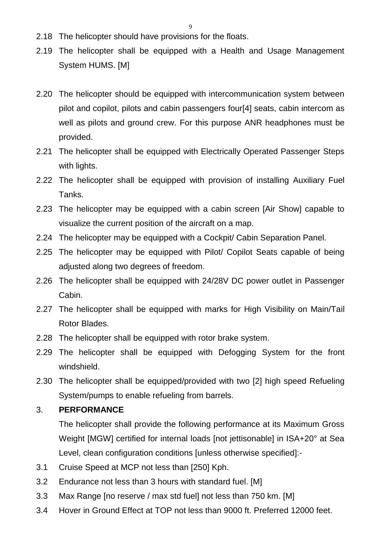9

- 2.18 The helicopter should have provisions for the floats.
- 2.19 The helicopter shall be equipped with a Health and Usage Management System HUMS. [M]
- 2.20 The helicopter should be equipped with intercommunication system between pilot and copilot, pilots and cabin passengers four[4] seats, cabin intercom as well as pilots and ground crew. For this purpose ANR headphones must be provided.
- 2.21 The helicopter shall be equipped with Electrically Operated Passenger Steps with lights.
- 2.22 The helicopter shall be equipped with provision of installing Auxiliary Fuel Tanks.
- 2.23 The helicopter may be equipped with a cabin screen [Air Show] capable to visualize the current position of the aircraft on a map.
- 2.24 The helicopter may be equipped with a Cockpit/ Cabin Separation Panel.
- 2.25 The helicopter may be equipped with Pilot/ Copilot Seats capable of being adjusted along two degrees of freedom.
- 2.26 The helicopter shall be equipped with 24/28V DC power outlet in Passenger Cabin.
- 2.27 The helicopter shall be equipped with marks for High Visibility on Main/Tail Rotor Blades.
- 2.28 The helicopter shall be equipped with rotor brake system.
- 2.29 The helicopter shall be equipped with Defogging System for the front windshield.
- 2.30 The helicopter shall be equipped/provided with two [2] high speed Refueling System/pumps to enable refueling from barrels.

#### 3. **PERFORMANCE**

The helicopter shall provide the following performance at its Maximum Gross Weight [MGW] certified for internal loads [not jettisonable] in ISA+20° at Sea Level, clean configuration conditions [unless otherwise specified]:-

- 3.1 Cruise Speed at MCP not less than [250] Kph.
- 3.2 Endurance not less than 3 hours with standard fuel. [M]
- 3.3 Max Range [no reserve / max std fuel] not less than 750 km. [M]
- 3.4 Hover in Ground Effect at TOP not less than 9000 ft. Preferred 12000 feet.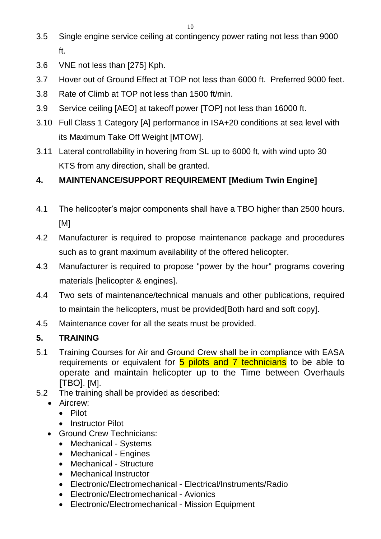- 3.5 Single engine service ceiling at contingency power rating not less than 9000 ft.
- 3.6 VNE not less than [275] Kph.
- 3.7 Hover out of Ground Effect at TOP not less than 6000 ft. Preferred 9000 feet.
- 3.8 Rate of Climb at TOP not less than 1500 ft/min.
- 3.9 Service ceiling [AEO] at takeoff power [TOP] not less than 16000 ft.
- 3.10 Full Class 1 Category [A] performance in ISA+20 conditions at sea level with its Maximum Take Off Weight [MTOW].
- 3.11 Lateral controllability in hovering from SL up to 6000 ft, with wind upto 30 KTS from any direction, shall be granted.

# **4. MAINTENANCE/SUPPORT REQUIREMENT [Medium Twin Engine]**

- 4.1 The helicopter's major components shall have a TBO higher than 2500 hours. [M]
- 4.2 Manufacturer is required to propose maintenance package and procedures such as to grant maximum availability of the offered helicopter.
- 4.3 Manufacturer is required to propose "power by the hour" programs covering materials [helicopter & engines].
- 4.4 Two sets of maintenance/technical manuals and other publications, required to maintain the helicopters, must be provided[Both hard and soft copy].
- 4.5 Maintenance cover for all the seats must be provided.

# **5. TRAINING**

- 5.1 Training Courses for Air and Ground Crew shall be in compliance with EASA requirements or equivalent for 5 pilots and 7 technicians to be able to operate and maintain helicopter up to the Time between Overhauls [TBO]. [M].
- 5.2 The training shall be provided as described:
	- Aircrew:
		- Pilot
		- Instructor Pilot
	- Ground Crew Technicians:
		- Mechanical Systems
		- Mechanical Engines
		- Mechanical Structure
		- Mechanical Instructor
		- Electronic/Electromechanical Electrical/Instruments/Radio
		- Electronic/Electromechanical Avionics
		- Electronic/Electromechanical Mission Equipment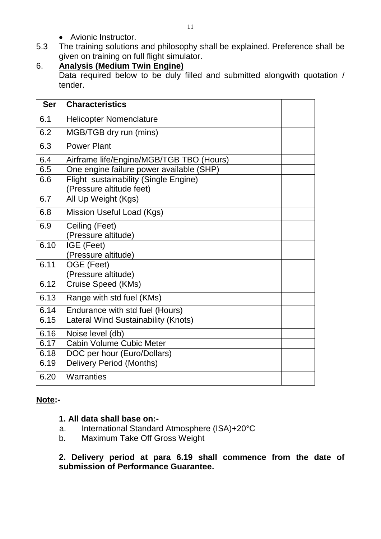- Avionic Instructor.
- 5.3 The training solutions and philosophy shall be explained. Preference shall be given on training on full flight simulator.
- 6. **Analysis (Medium Twin Engine)** Data required below to be duly filled and submitted alongwith quotation / tender.

| <b>Ser</b> | <b>Characteristics</b>                                            |  |
|------------|-------------------------------------------------------------------|--|
| 6.1        | <b>Helicopter Nomenclature</b>                                    |  |
| 6.2        | MGB/TGB dry run (mins)                                            |  |
| 6.3        | <b>Power Plant</b>                                                |  |
| 6.4        | Airframe life/Engine/MGB/TGB TBO (Hours)                          |  |
| 6.5        | One engine failure power available (SHP)                          |  |
| 6.6        | Flight sustainability (Single Engine)<br>(Pressure altitude feet) |  |
| 6.7        | All Up Weight (Kgs)                                               |  |
| 6.8        | Mission Useful Load (Kgs)                                         |  |
| 6.9        | Ceiling (Feet)<br>(Pressure altitude)                             |  |
| 6.10       | IGE (Feet)                                                        |  |
|            | (Pressure altitude)                                               |  |
| 6.11       | OGE (Feet)                                                        |  |
|            | (Pressure altitude)                                               |  |
| 6.12       | Cruise Speed (KMs)                                                |  |
| 6.13       | Range with std fuel (KMs)                                         |  |
| 6.14       | Endurance with std fuel (Hours)                                   |  |
| 6.15       | Lateral Wind Sustainability (Knots)                               |  |
| 6.16       | Noise level (db)                                                  |  |
| 6.17       | <b>Cabin Volume Cubic Meter</b>                                   |  |
| 6.18       | DOC per hour (Euro/Dollars)                                       |  |
| 6.19       | Delivery Period (Months)                                          |  |
| 6.20       | Warranties                                                        |  |

#### **Note:-**

#### **1. All data shall base on:-**

- a. International Standard Atmosphere (ISA)+20°C
- b. Maximum Take Off Gross Weight

**2. Delivery period at para 6.19 shall commence from the date of submission of Performance Guarantee.**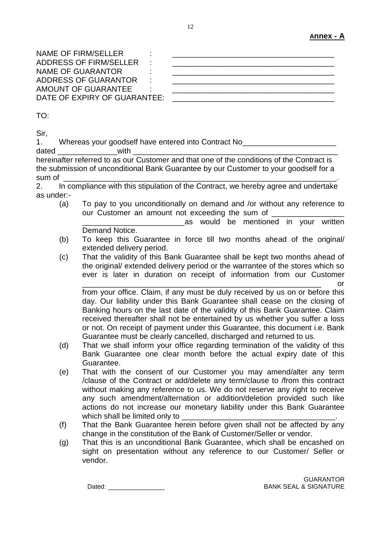NAME OF FIRM/SELLER ADDRESS OF FIRM/SELLER NAME OF GUARANTOR ADDRESS OF GUARANTOR AMOUNT OF GUARANTEE DATE OF EXPIRY OF GUARANTEE:

| _____ |  |  |  |
|-------|--|--|--|

TO:

Sir,

1. Whereas your goodself have entered into Contract No\_\_\_\_\_\_\_\_\_\_\_\_\_\_\_\_\_\_\_\_\_\_

dated with hereinafter referred to as our Customer and that one of the conditions of the Contract is the submission of unconditional Bank Guarantee by our Customer to your goodself for a sum of \_\_\_\_\_\_\_\_\_\_\_\_\_\_\_\_\_\_\_\_\_\_\_\_\_\_\_\_\_\_\_\_\_\_\_\_\_\_\_\_\_\_\_\_\_\_\_\_\_\_\_\_\_\_\_\_\_\_\_\_\_\_\_\_.

2. In compliance with this stipulation of the Contract, we hereby agree and undertake as under:-

(a) To pay to you unconditionally on demand and /or without any reference to our Customer an amount not exceeding the sum of

as would be mentioned in your written Demand Notice.

- (b) To keep this Guarantee in force till two months ahead of the original/ extended delivery period.
- (c) That the validity of this Bank Guarantee shall be kept two months ahead of the original/ extended delivery period or the warrantee of the stores which so ever is later in duration on receipt of information from our Customer \_\_\_\_\_\_\_\_\_\_\_\_\_\_\_\_\_\_\_\_\_\_\_\_\_\_\_\_\_\_\_\_\_\_\_\_\_\_\_\_\_\_\_\_\_\_\_\_\_\_\_\_\_\_\_\_ or

from your office. Claim, if any must be duly received by us on or before this day. Our liability under this Bank Guarantee shall cease on the closing of Banking hours on the last date of the validity of this Bank Guarantee. Claim received thereafter shall not be entertained by us whether you suffer a loss or not. On receipt of payment under this Guarantee, this document i.e. Bank Guarantee must be clearly cancelled, discharged and returned to us.

- (d) That we shall inform your office regarding termination of the validity of this Bank Guarantee one clear month before the actual expiry date of this Guarantee.
- (e) That with the consent of our Customer you may amend/alter any term /clause of the Contract or add/delete any term/clause to /from this contract without making any reference to us. We do not reserve any right to receive any such amendment/alternation or addition/deletion provided such like actions do not increase our monetary liability under this Bank Guarantee which shall be limited only to
- (f) That the Bank Guarantee herein before given shall not be affected by any change in the constitution of the Bank of Customer/Seller or vendor.
- (g) That this is an unconditional Bank Guarantee, which shall be encashed on sight on presentation without any reference to our Customer/ Seller or vendor.

GUARANTOR Dated: \_\_\_\_\_\_\_\_\_\_\_\_\_\_\_\_ BANK SEAL & SIGNATURE